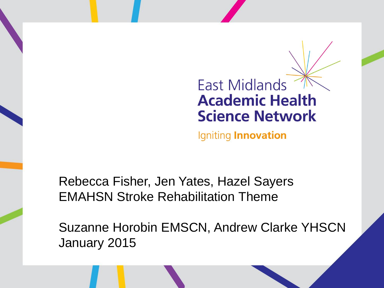#### **East Midlands Academic Health Science Network**

Igniting Innovation

Rebecca Fisher, Jen Yates, Hazel Sayers EMAHSN Stroke Rehabilitation Theme

Suzanne Horobin EMSCN, Andrew Clarke YHSCN January 2015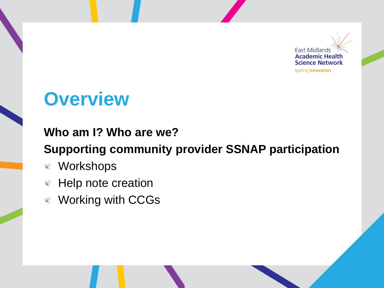

## **Overview**

#### **Who am I? Who are we?**

#### **Supporting community provider SSNAP participation**

- Workshops
- $*$  Help note creation
- Working with CCGs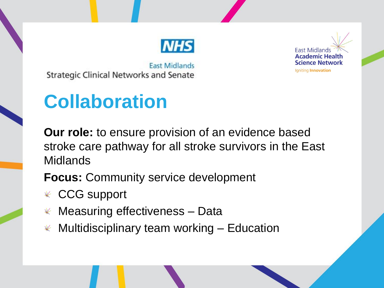

**East Midlands Strategic Clinical Networks and Senate** 

# **Collaboration**

**Our role:** to ensure provision of an evidence based stroke care pathway for all stroke survivors in the East Midlands

**Focus:** Community service development

- CCG support
- $*$  Measuring effectiveness Data
- $*$  Multidisciplinary team working  $-$  Education

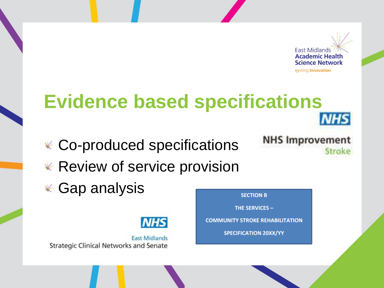

**NHS** 

Stroke

**NHS Improvement** 

**THE SERVICES -**

**COMMUNITY STROKE REHABILITATION** 

**SPECIFICATION 20XX/YY** 

## **Evidence based specifications**

Co-produced specifications  $*$  Review of service provision  $*$  Gap analysis **SECTION B** 



**East Midlands Strategic Clinical Networks and Senate**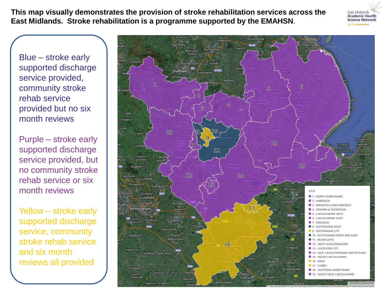**This map visually demonstrates the provision of stroke rehabilitation services across the East Midlands. Stroke rehabilitation is a programme supported by the EMAHSN**.

Blue – stroke early supported discharge service provided, community stroke rehab service provided but no six month reviews

Purple – stroke early supported discharge service provided, but no community stroke rehab service or six month reviews

Yellow – stroke early supported discharge service, community stroke rehab service and six month reviews all provided



**East Midlands Academic Health Science Network**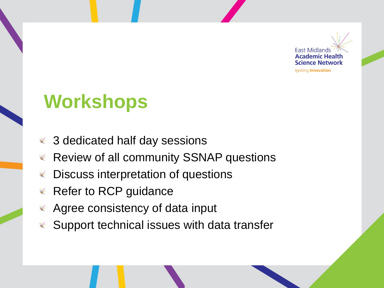

## **Workshops**

- 3 dedicated half day sessions
- Review of all community SSNAP questions  $\frac{1}{\sqrt{2}}$
- Discuss interpretation of questions
- Refer to RCP guidance  $\frac{1}{\sqrt{2}}$
- Agree consistency of data input  $\frac{1}{\sqrt{2}}$
- Support technical issues with data transfer $\frac{1}{\sqrt{2}}$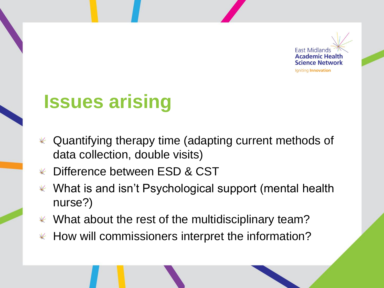

#### **Issues arising**

- Quantifying therapy time (adapting current methods of  $\frac{1}{\sqrt{2}}$ data collection, double visits)
- Difference between ESD & CST  $\frac{1}{2}$
- What is and isn't Psychological support (mental health  $\frac{1}{\sqrt{2}}$ nurse?)
- $\mathscr K$  What about the rest of the multidisciplinary team?
- $*$  How will commissioners interpret the information?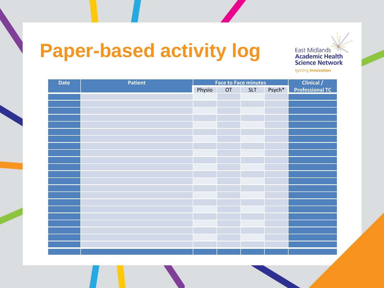## **Paper-based activity log**

**East Midlands Academic Health Science Network** Igniting Innovation

**Date Patient Patient Face to Face minutes Clinical / Clinical /** Physio OT SLT Psych\* **Professional TC**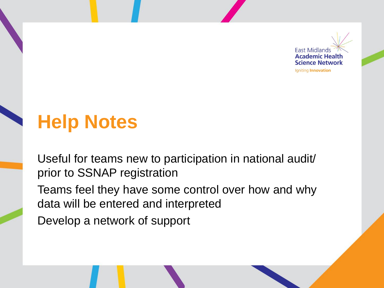

## **Help Notes**

Useful for teams new to participation in national audit/ prior to SSNAP registration Teams feel they have some control over how and why data will be entered and interpreted

Develop a network of support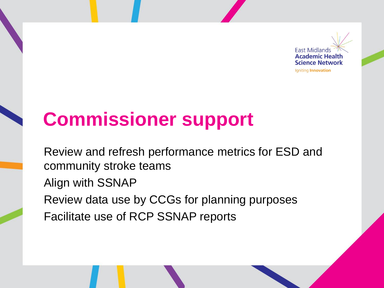

# **Commissioner support**

Review and refresh performance metrics for ESD and community stroke teams Align with SSNAP Review data use by CCGs for planning purposes Facilitate use of RCP SSNAP reports